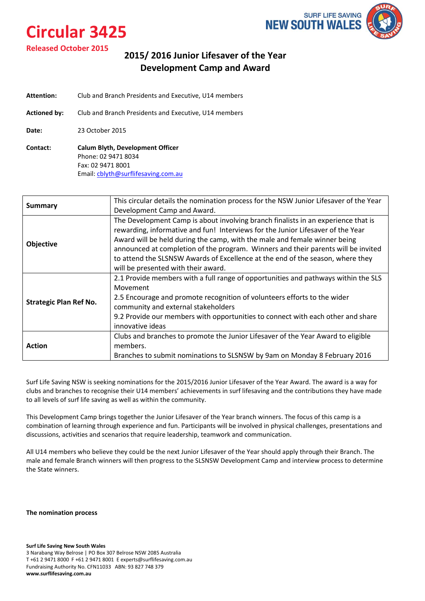# **Circular 3425**



### **Released October 2015**

### **2015/ 2016 Junior Lifesaver of the Year Development Camp and Award**

- **Attention:** Club and Branch Presidents and Executive, U14 members
- **Actioned by:** Club and Branch Presidents and Executive, U14 members

**Date:** 23 October 2015

**Contact: Calum Blyth, Development Officer**  Phone: 02 9471 8034 Fax: 02 9471 8001 Email: [cblyth@surflifesaving.com.au](mailto:cblyth@surflifesaving.com.au) 

|                               | This circular details the nomination process for the NSW Junior Lifesaver of the Year |
|-------------------------------|---------------------------------------------------------------------------------------|
| <b>Summary</b>                | Development Camp and Award.                                                           |
|                               | The Development Camp is about involving branch finalists in an experience that is     |
|                               | rewarding, informative and fun! Interviews for the Junior Lifesaver of the Year       |
| <b>Objective</b>              | Award will be held during the camp, with the male and female winner being             |
|                               | announced at completion of the program. Winners and their parents will be invited     |
|                               | to attend the SLSNSW Awards of Excellence at the end of the season, where they        |
|                               | will be presented with their award.                                                   |
|                               | 2.1 Provide members with a full range of opportunities and pathways within the SLS    |
|                               | Movement                                                                              |
|                               | 2.5 Encourage and promote recognition of volunteers efforts to the wider              |
| <b>Strategic Plan Ref No.</b> | community and external stakeholders                                                   |
|                               | 9.2 Provide our members with opportunities to connect with each other and share       |
|                               | innovative ideas                                                                      |
|                               | Clubs and branches to promote the Junior Lifesaver of the Year Award to eligible      |
| Action                        | members.                                                                              |
|                               | Branches to submit nominations to SLSNSW by 9am on Monday 8 February 2016             |

Surf Life Saving NSW is seeking nominations for the 2015/2016 Junior Lifesaver of the Year Award. The award is a way for clubs and branches to recognise their U14 members' achievements in surf lifesaving and the contributions they have made to all levels of surf life saving as well as within the community.

This Development Camp brings together the Junior Lifesaver of the Year branch winners. The focus of this camp is a combination of learning through experience and fun. Participants will be involved in physical challenges, presentations and discussions, activities and scenarios that require leadership, teamwork and communication.

All U14 members who believe they could be the next Junior Lifesaver of the Year should apply through their Branch. The male and female Branch winners will then progress to the SLSNSW Development Camp and interview process to determine the State winners.

**The nomination process**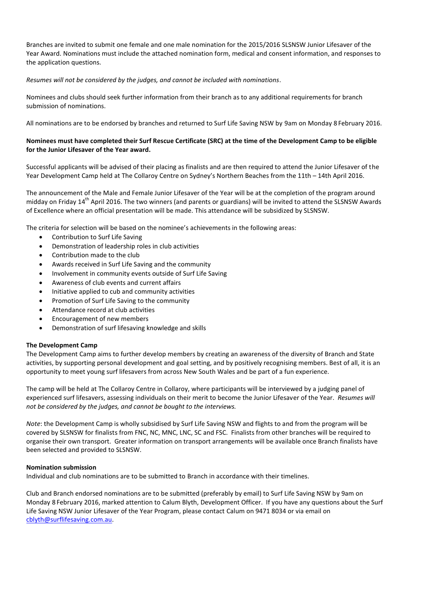Year Award. Nominations must include the attached nomination form, medical and consent information, and responses to Branches are invited to submit one female and one male nomination for the 2015/2016 SLSNSW Junior Lifesaver of the the application questions.

#### *Resumes will not be considered by the judges, and cannot be included with nominations*.

Nominees and clubs should seek further information from their branch as to any additional requirements for branch submission of nominations.

All nominations are to be endorsed by branches and returned to Surf Life Saving NSW by 9am on Monday 8 February 2016.

### **Nominees must have completed their Surf Rescue Certificate (SRC) at the time of the Development Camp to be eligible for the Junior Lifesaver of the Year award.**

Successful applicants will be advised of their placing as finalists and are then required to attend the Junior Lifesaver of the Year Development Camp held at The Collaroy Centre on Sydney's Northern Beaches from the 11th – 14th April 2016.

The announcement of the Male and Female Junior Lifesaver of the Year will be at the completion of the program around midday on Friday 14<sup>th</sup> April 2016. The two winners (and parents or guardians) will be invited to attend the SLSNSW Awards of Excellence where an official presentation will be made. This attendance will be subsidized by SLSNSW.

The criteria for selection will be based on the nominee's achievements in the following areas:

- Contribution to Surf Life Saving
- Demonstration of leadership roles in club activities
- Contribution made to the club
- Awards received in Surf Life Saving and the community
- Involvement in community events outside of Surf Life Saving
- Awareness of club events and current affairs
- Initiative applied to cub and community activities
- Promotion of Surf Life Saving to the community
- Attendance record at club activities
- Encouragement of new members
- Demonstration of surf lifesaving knowledge and skills

#### **The Development Camp**

The Development Camp aims to further develop members by creating an awareness of the diversity of Branch and State activities, by supporting personal development and goal setting, and by positively recognising members. Best of all, it is an opportunity to meet young surf lifesavers from across New South Wales and be part of a fun experience.

The camp will be held at The Collaroy Centre in Collaroy, where participants will be interviewed by a judging panel of experienced surf lifesavers, assessing individuals on their merit to become the Junior Lifesaver of the Year. *Resumes will not be considered by the judges, and cannot be bought to the interviews.*

*Note*: the Development Camp is wholly subsidised by Surf Life Saving NSW and flights to and from the program will be covered by SLSNSW for finalists from FNC, NC, MNC, LNC, SC and FSC. Finalists from other branches will be required to organise their own transport. Greater information on transport arrangements will be available once Branch finalists have been selected and provided to SLSNSW.

#### **Nomination submission**

Individual and club nominations are to be submitted to Branch in accordance with their timelines.

Club and Branch endorsed nominations are to be submitted (preferably by email) to Surf Life Saving NSW by 9am on Monday 8 February 2016, marked attention to Calum Blyth, Development Officer. If you have any questions about the Surf Life Saving NSW Junior Lifesaver of the Year Program, please contact Calum on 9471 8034 or via email on [cblyth@surflifesaving.com.au.](mailto:cblyth@surflifesaving.com.au)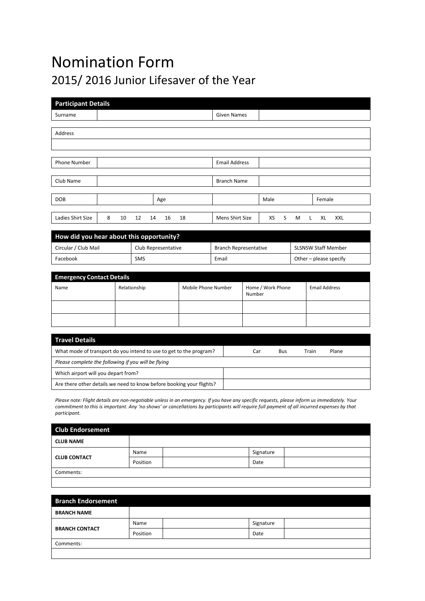## Nomination Form 2015/ 2016 Junior Lifesaver of the Year

| <b>Participant Details</b> |         |    |     |    |    |                      |      |   |   |   |        |     |
|----------------------------|---------|----|-----|----|----|----------------------|------|---|---|---|--------|-----|
| Surname                    |         |    |     |    |    | <b>Given Names</b>   |      |   |   |   |        |     |
|                            |         |    |     |    |    |                      |      |   |   |   |        |     |
| Address                    |         |    |     |    |    |                      |      |   |   |   |        |     |
|                            |         |    |     |    |    |                      |      |   |   |   |        |     |
|                            |         |    |     |    |    |                      |      |   |   |   |        |     |
| Phone Number               |         |    |     |    |    | <b>Email Address</b> |      |   |   |   |        |     |
|                            |         |    |     |    |    |                      |      |   |   |   |        |     |
| Club Name                  |         |    |     |    |    | <b>Branch Name</b>   |      |   |   |   |        |     |
|                            |         |    |     |    |    |                      |      |   |   |   |        |     |
| <b>DOB</b>                 |         |    | Age |    |    |                      | Male |   |   |   | Female |     |
|                            |         |    |     |    |    |                      |      |   |   |   |        |     |
| Ladies Shirt Size          | 8<br>10 | 12 | 14  | 16 | 18 | Mens Shirt Size      | XS   | S | M | L | XL     | XXL |
|                            |         |    |     |    |    |                      |      |   |   |   |        |     |

| How did you hear about this opportunity? |                     |                              |                            |  |  |  |  |
|------------------------------------------|---------------------|------------------------------|----------------------------|--|--|--|--|
| Circular / Club Mail                     | Club Representative | <b>Branch Representative</b> | <b>SLSNSW Staff Member</b> |  |  |  |  |
| Facebook                                 | <b>SMS</b>          | Email                        | Other – please specify     |  |  |  |  |

| <b>Emergency Contact Details</b> |              |                     |                             |                      |  |  |  |  |
|----------------------------------|--------------|---------------------|-----------------------------|----------------------|--|--|--|--|
| Name                             | Relationship | Mobile Phone Number | Home / Work Phone<br>Number | <b>Email Address</b> |  |  |  |  |
|                                  |              |                     |                             |                      |  |  |  |  |
|                                  |              |                     |                             |                      |  |  |  |  |

| <b>Travel Details</b>                                                |     |     |       |       |
|----------------------------------------------------------------------|-----|-----|-------|-------|
| What mode of transport do you intend to use to get to the program?   | Car | Bus | Train | Plane |
| Please complete the following if you will be flying                  |     |     |       |       |
| Which airport will you depart from?                                  |     |     |       |       |
| Are there other details we need to know before booking your flights? |     |     |       |       |

Please note: Flight details are non-negotiable unless in an emergency. If you have any specific requests, please inform us immediately. Your *commitment to this is important. Any 'no shows' or cancellations by participants will require full payment of all incurred expenses by that participant.*

| <b>Club Endorsement</b> |          |           |  |
|-------------------------|----------|-----------|--|
| <b>CLUB NAME</b>        |          |           |  |
| <b>CLUB CONTACT</b>     | Name     | Signature |  |
|                         | Position | Date      |  |
| Comments:               |          |           |  |

| <b>Branch Endorsement</b> |          |           |  |
|---------------------------|----------|-----------|--|
| <b>BRANCH NAME</b>        |          |           |  |
| <b>BRANCH CONTACT</b>     | Name     | Signature |  |
|                           | Position | Date      |  |
| Comments:                 |          |           |  |
|                           |          |           |  |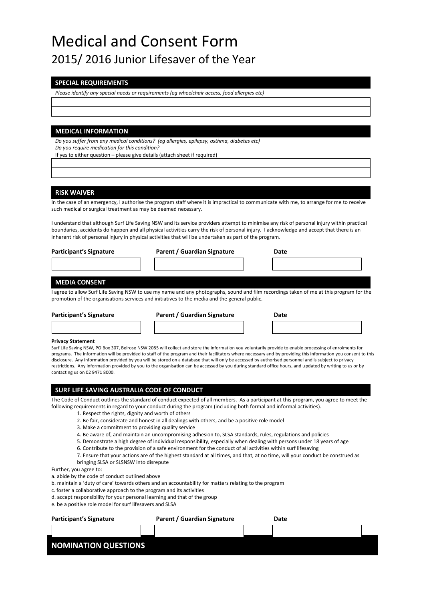## Medical and Consent Form 2015/ 2016 Junior Lifesaver of the Year

#### **SPECIAL REQUIREMENTS**

*Please identify any special needs or requirements (eg wheelchair access, food allergies etc)*

#### **MEDICAL INFORMATION**

*Do you suffer from any medical conditions? (eg allergies, epilepsy, asthma, diabetes etc) Do you require medication for this condition?*

If yes to either question – please give details (attach sheet if required)

#### **RISK WAIVER**

In the case of an emergency, I authorise the program staff where it is impractical to communicate with me, to arrange for me to receive such medical or surgical treatment as may be deemed necessary.

I understand that although Surf Life Saving NSW and its service providers attempt to minimise any risk of personal injury within practical boundaries, accidents do happen and all physical activities carry the risk of personal injury. I acknowledge and accept that there is an inherent risk of personal injury in physical activities that will be undertaken as part of the program.

| <b>Participant's Signature</b> | Parent / Guardian Signature | Date |
|--------------------------------|-----------------------------|------|
|                                |                             |      |

#### **MEDIA CONSENT**

I agree to allow Surf Life Saving NSW to use my name and any photographs, sound and film recordings taken of me at this program for the promotion of the organisations services and initiatives to the media and the general public.

**Participant's Signature Parent / Guardian Signature Date**

#### **Privacy Statement**

Surf Life Saving NSW, PO Box 307, Belrose NSW 2085 will collect and store the information you voluntarily provide to enable processing of enrolments for programs. The information will be provided to staff of the program and their facilitators where necessary and by providing this information you consent to this disclosure. Any information provided by you will be stored on a database that will only be accessed by authorised personnel and is subject to privacy restrictions. Any information provided by you to the organisation can be accessed by you during standard office hours, and updated by writing to us or by contacting us on 02 9471 8000.

#### **SURF LIFE SAVING AUSTRALIA CODE OF CONDUCT**

The Code of Conduct outlines the standard of conduct expected of all members. As a participant at this program, you agree to meet the following requirements in regard to your conduct during the program (including both formal and informal activities).

- 1. Respect the rights, dignity and worth of others
- 2. Be fair, considerate and honest in all dealings with others, and be a positive role model
- 3. Make a commitment to providing quality service
- 4. Be aware of, and maintain an uncompromising adhesion to, SLSA standards, rules, regulations and policies
- 5. Demonstrate a high degree of individual responsibility, especially when dealing with persons under 18 years of age
- 6. Contribute to the provision of a safe environment for the conduct of all activities within surf lifesaving
- 7. Ensure that your actions are of the highest standard at all times, and that, at no time, will your conduct be construed as bringing SLSA or SLSNSW into disrepute

Further, you agree to:

- a. abide by the code of conduct outlined above
- b. maintain a 'duty of care' towards others and an accountability for matters relating to the program
- c. foster a collaborative approach to the program and its activities
- d. accept responsibility for your personal learning and that of the group
- e. be a positive role model for surf lifesavers and SLSA

| <b>Participant's Signature</b> | Parent / Guardian Signature | Date |  |
|--------------------------------|-----------------------------|------|--|
|                                |                             |      |  |
| <b>NOMINATION QUESTIONS</b>    |                             |      |  |